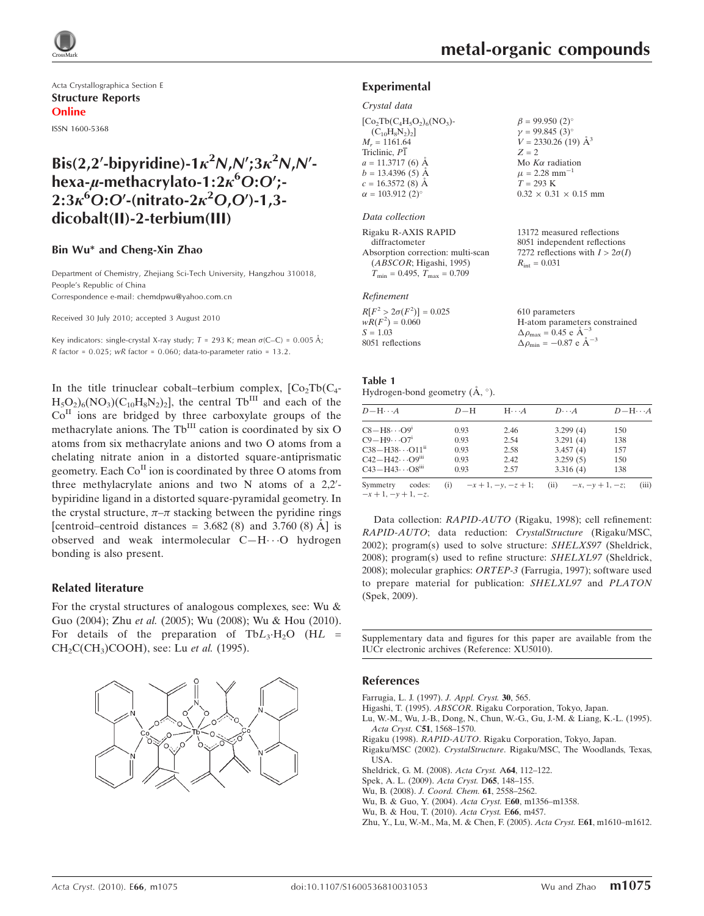

Acta Crystallographica Section E Structure Reports Online

ISSN 1600-5368

# Bis(2,2'-bipyridine)-1 $\kappa^2 N$ , $N$ ';3 $\kappa^2 N$ , $N'$ hexa-µ-methacrylato-1:2 $\kappa^6$ O:O';- $2:3\kappa^{6}O O(-\text{nitrato-}2\kappa^{2}O,O')$ -1,3dicobalt(II)-2-terbium(III)

### Bin Wu\* and Cheng-Xin Zhao

Department of Chemistry, Zhejiang Sci-Tech University, Hangzhou 310018, People's Republic of China Correspondence e-mail: chemdpwu@yahoo.com.cn

Received 30 July 2010; accepted 3 August 2010

Key indicators: single-crystal X-ray study;  $T = 293$  K; mean  $\sigma$ (C–C) = 0.005 Å; R factor =  $0.025$ ; wR factor =  $0.060$ ; data-to-parameter ratio = 13.2.

In the title trinuclear cobalt–terbium complex,  $[Co<sub>2</sub>Tb(C<sub>4</sub> H_5O_2$ <sub>6</sub>(NO<sub>3</sub>)(C<sub>10</sub>H<sub>8</sub>N<sub>2</sub>)<sub>2</sub>], the central Tb<sup>III</sup> and each of the  $Co<sup>H</sup>$  ions are bridged by three carboxylate groups of the methacrylate anions. The Tb<sup>III</sup> cation is coordinated by six O atoms from six methacrylate anions and two O atoms from a chelating nitrate anion in a distorted square-antiprismatic geometry. Each  $Co<sup>H</sup>$  ion is coordinated by three O atoms from three methylacrylate anions and two  $N$  atoms of a  $2,2'$ bypiridine ligand in a distorted square-pyramidal geometry. In the crystal structure,  $\pi-\pi$  stacking between the pyridine rings [centroid–centroid distances =  $3.682(8)$  and  $3.760(8)$  Å] is observed and weak intermolecular C-H $\cdots$ O hydrogen bonding is also present.

### Related literature

For the crystal structures of analogous complexes, see: Wu & Guo (2004); Zhu et al. (2005); Wu (2008); Wu & Hou (2010). For details of the preparation of  $TbL_3 \cdot H_2O$  (HL =  $CH<sub>2</sub>C(CH<sub>3</sub>)COOH$ , see: Lu et al. (1995).



13172 measured reflections 8051 independent reflections 7272 reflections with  $I > 2\sigma(I)$ 

H-atom parameters constrained

 $R_{\text{int}} = 0.031$ 

610 parameters

 $\Delta \rho_{\text{max}} = 0.45 \text{ e A}^{-3}$  $\Delta \rho_{\rm min} = -0.87 \text{ e A}^{-3}$ 

### Experimental

#### Crystal data

 $[Co<sub>2</sub>Tb(C<sub>4</sub>H<sub>5</sub>O<sub>2</sub>)<sub>6</sub>(NO<sub>3</sub>)$ - $(C_{10}H_8N_2)_2$  $M_r = 1161.64$ Triclinic, P1  $a = 11.3717(6)$  Å  $b = 13.4396(5)$  Å  $c = 16.3572(8)$  Å  $\alpha = 103.912$  (2)<sup>o</sup>  $\beta = 99.950$  (2)<sup>o</sup>  $y = 99.845$  (3)<sup>o</sup>  $V = 2330.26$  (19)  $\AA^3$  $Z = 2$ Mo  $K\alpha$  radiation  $\mu$  = 2.28 mm<sup>-1</sup>  $T = 293$  K  $0.32 \times 0.31 \times 0.15$  mm

#### Data collection

Rigaku R-AXIS RAPID diffractometer Absorption correction: multi-scan (ABSCOR; Higashi, 1995)  $T_{\text{min}} = 0.495, T_{\text{max}} = 0.709$ 

#### Refinement

 $R[F^2 > 2\sigma(F^2)] = 0.025$ <br>  $wR(F^2) = 0.060$  $S = 1.03$ 8051 reflections

## Table 1

Hydrogen-bond geometry  $(\AA, \degree)$ .

| $D - H \cdots A$                     | $D-H$ | $H \cdot \cdot \cdot A$ | $D\cdots A$             | $D - H \cdots A$ |
|--------------------------------------|-------|-------------------------|-------------------------|------------------|
| $CS-H8\cdots O9^i$                   | 0.93  | 2.46                    | 3.299(4)                | 150              |
| $C9 - H9 \cdots O7$ <sup>1</sup>     | 0.93  | 2.54                    | 3.291(4)                | 138              |
| $C38 - H38 \cdots O11$ <sup>ii</sup> | 0.93  | 2.58                    | 3.457(4)                | 157              |
| $C42 - H42 \cdots O9III$             | 0.93  | 2.42                    | 3.259(5)                | 150              |
| $C43 - H43 \cdots O8$ <sup>iii</sup> | 0.93  | 2.57                    | 3.316(4)                | 138              |
| Symmetry<br>codes:                   | (i)   | $-x+1, -y, -z+1;$       | $-x, -y+1, -z;$<br>(ii) | (iii)            |

 $-x + 1, -y + 1, -z.$ 

Data collection: RAPID-AUTO (Rigaku, 1998); cell refinement: RAPID-AUTO; data reduction: CrystalStructure (Rigaku/MSC, 2002); program(s) used to solve structure: SHELXS97 (Sheldrick, 2008); program(s) used to refine structure: SHELXL97 (Sheldrick, 2008); molecular graphics: ORTEP-3 (Farrugia, 1997); software used to prepare material for publication: SHELXL97 and PLATON (Spek, 2009).

Supplementary data and figures for this paper are available from the IUCr electronic archives (Reference: XU5010).

#### References

[Farrugia, L. J. \(1997\).](https://scripts.iucr.org/cgi-bin/cr.cgi?rm=pdfbb&cnor=xu5010&bbid=BB1) J. Appl. Cryst. 30, 565.

- Higashi, T. (1995). ABSCOR[. Rigaku Corporation, Tokyo, Japan.](https://scripts.iucr.org/cgi-bin/cr.cgi?rm=pdfbb&cnor=xu5010&bbid=BB2)
- [Lu, W.-M., Wu, J.-B., Dong, N., Chun, W.-G., Gu, J.-M. & Liang, K.-L. \(1995\).](https://scripts.iucr.org/cgi-bin/cr.cgi?rm=pdfbb&cnor=xu5010&bbid=BB3) Acta Cryst. C51[, 1568–1570.](https://scripts.iucr.org/cgi-bin/cr.cgi?rm=pdfbb&cnor=xu5010&bbid=BB3)
- Rigaku (1998). RAPID-AUTO[. Rigaku Corporation, Tokyo, Japan.](https://scripts.iucr.org/cgi-bin/cr.cgi?rm=pdfbb&cnor=xu5010&bbid=BB4)

Rigaku/MSC (2002). CrystalStructure[. Rigaku/MSC, The Woodlands, Texas,](https://scripts.iucr.org/cgi-bin/cr.cgi?rm=pdfbb&cnor=xu5010&bbid=BB5) [USA.](https://scripts.iucr.org/cgi-bin/cr.cgi?rm=pdfbb&cnor=xu5010&bbid=BB5)

[Sheldrick, G. M. \(2008\).](https://scripts.iucr.org/cgi-bin/cr.cgi?rm=pdfbb&cnor=xu5010&bbid=BB6) Acta Cryst. A64, 112–122.

[Spek, A. L. \(2009\).](https://scripts.iucr.org/cgi-bin/cr.cgi?rm=pdfbb&cnor=xu5010&bbid=BB7) Acta Cryst. D65, 148–155.

Wu, B. (2008). [J. Coord. Chem.](https://scripts.iucr.org/cgi-bin/cr.cgi?rm=pdfbb&cnor=xu5010&bbid=BB8) 61, 2558–2562.

- [Wu, B. & Guo, Y. \(2004\).](https://scripts.iucr.org/cgi-bin/cr.cgi?rm=pdfbb&cnor=xu5010&bbid=BB9) Acta Cryst. E60, m1356–m1358.
- [Wu, B. & Hou, T. \(2010\).](https://scripts.iucr.org/cgi-bin/cr.cgi?rm=pdfbb&cnor=xu5010&bbid=BB10) Acta Cryst. E66, m457.

[Zhu, Y., Lu, W.-M., Ma, M. & Chen, F. \(2005\).](https://scripts.iucr.org/cgi-bin/cr.cgi?rm=pdfbb&cnor=xu5010&bbid=BB11) Acta Cryst. E61, m1610–m1612.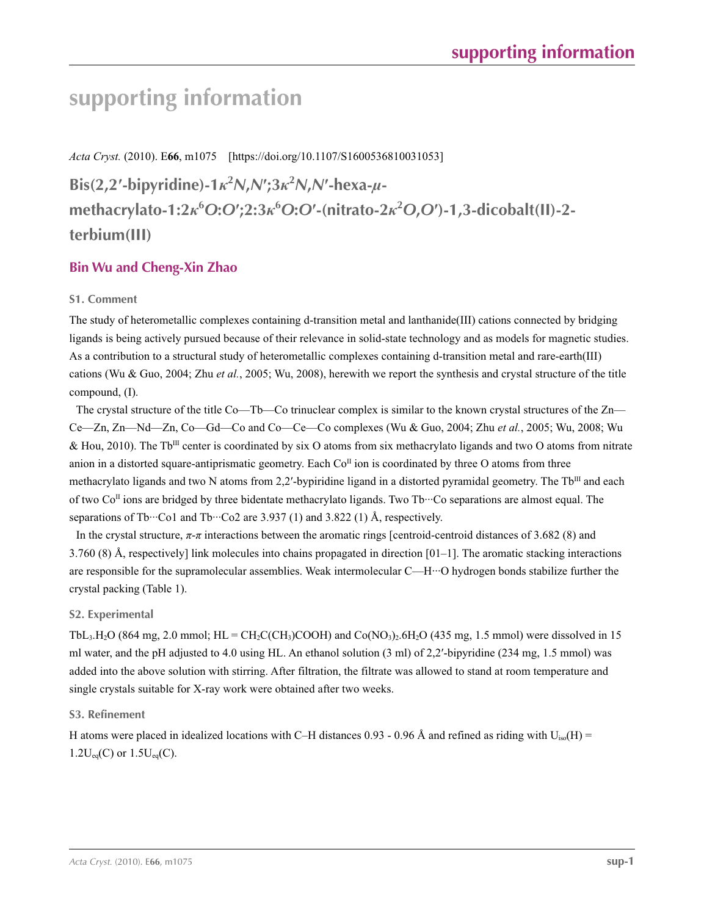*Acta Cryst.* (2010). E**66**, m1075 [https://doi.org/10.1107/S1600536810031053]

Bis(2,2'-bipyridine)-1 $\kappa^2 N$ , $N$ ';3 $\kappa^2 N$ , $N$ '-hexa- $\mu$ methacrylato-1:2 $\kappa^6$ O:O';2:3 $\kappa^6$ O:O'-(nitrato-2 $\kappa^2$ O,O')-1,3-dicobalt(II)-2**terbium(III)**

## **Bin Wu and Cheng-Xin Zhao**

## **S1. Comment**

The study of heterometallic complexes containing d-transition metal and lanthanide(III) cations connected by bridging ligands is being actively pursued because of their relevance in solid-state technology and as models for magnetic studies. As a contribution to a structural study of heterometallic complexes containing d-transition metal and rare-earth(III) cations (Wu & Guo, 2004; Zhu *et al.*, 2005; Wu, 2008), herewith we report the synthesis and crystal structure of the title compound, (I).

The crystal structure of the title Co—Tb—Co trinuclear complex is similar to the known crystal structures of the Zn— Ce—Zn, Zn—Nd—Zn, Co—Gd—Co and Co—Ce—Co complexes (Wu & Guo, 2004; Zhu *et al.*, 2005; Wu, 2008; Wu & Hou, 2010). The Tb<sup>III</sup> center is coordinated by six O atoms from six methacrylato ligands and two O atoms from nitrate anion in a distorted square-antiprismatic geometry. Each  $Co<sup>\Pi</sup>$  ion is coordinated by three O atoms from three methacrylato ligands and two N atoms from 2,2'-bypiridine ligand in a distorted pyramidal geometry. The Tb<sup>III</sup> and each of two  $Co<sup>\Pi</sup>$  ions are bridged by three bidentate methacrylato ligands. Two Tb $\cdots$ Co separations are almost equal. The separations of Tb…Co1 and Tb…Co2 are 3.937 (1) and 3.822 (1) Å, respectively.

In the crystal structure, *π*-*π* interactions between the aromatic rings [centroid-centroid distances of 3.682 (8) and 3.760 (8) Å, respectively] link molecules into chains propagated in direction  $[01-1]$ . The aromatic stacking interactions are responsible for the supramolecular assemblies. Weak intermolecular C—H···O hydrogen bonds stabilize further the crystal packing (Table 1).

## **S2. Experimental**

TbL<sub>3</sub>.H<sub>2</sub>O (864 mg, 2.0 mmol; HL = CH<sub>2</sub>C(CH<sub>3</sub>)COOH) and Co(NO<sub>3</sub>)<sub>2</sub>.6H<sub>2</sub>O (435 mg, 1.5 mmol) were dissolved in 15 ml water, and the pH adjusted to 4.0 using HL. An ethanol solution (3 ml) of 2,2′-bipyridine (234 mg, 1.5 mmol) was added into the above solution with stirring. After filtration, the filtrate was allowed to stand at room temperature and single crystals suitable for X-ray work were obtained after two weeks.

## **S3. Refinement**

H atoms were placed in idealized locations with C–H distances 0.93 - 0.96 Å and refined as riding with  $U_{iso}(H)$  =  $1.2U_{eq}(C)$  or  $1.5U_{eq}(C)$ .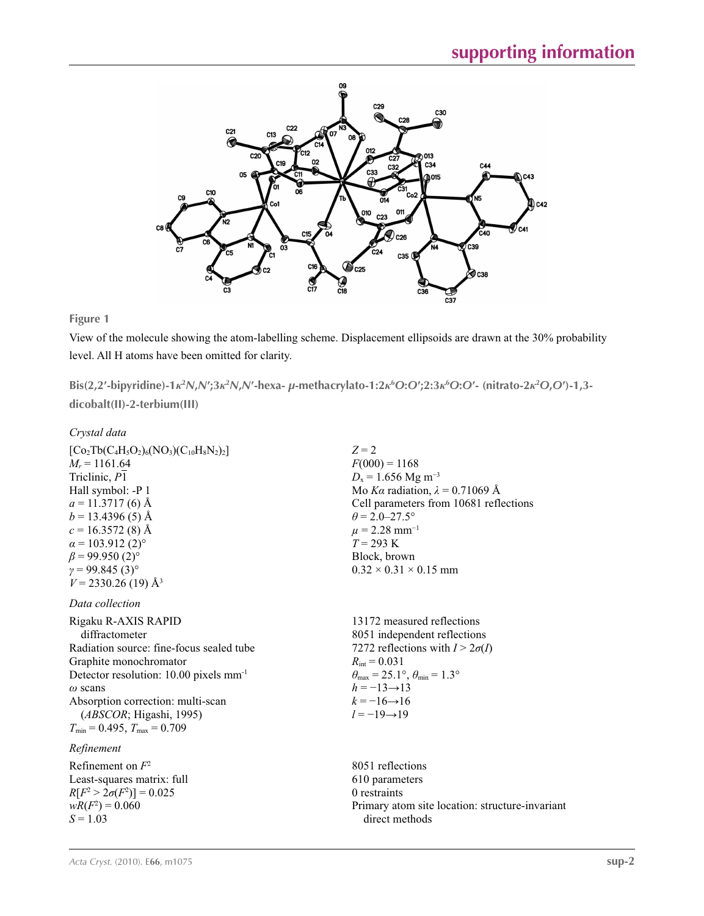

**Figure 1**

View of the molecule showing the atom-labelling scheme. Displacement ellipsoids are drawn at the 30% probability level. All H atoms have been omitted for clarity.

Bis(2,2'-bipyridine)-1 $\kappa^2$ N,N';3 $\kappa^2$ N,N'-hexa-  $\mu$ -methacrylato-1:2 $\kappa$ <sup>6</sup>O:O';2:3 $\kappa$ <sup>6</sup>O:O'- (nitrato-2 $\kappa^2$ O,O')-1,3**dicobalt(II)-2-terbium(III)** 

## *Crystal data*

| $[Co_2Tb(C_4H_5O_2)_6(NO_3)(C_{10}H_8N_2)_2]$      | $Z = 2$                                                                 |
|----------------------------------------------------|-------------------------------------------------------------------------|
| $M_r = 1161.64$                                    | $F(000) = 1168$                                                         |
| Triclinic, P1                                      | $D_x = 1.656$ Mg m <sup>-3</sup>                                        |
| Hall symbol: -P 1                                  | Mo Ka radiation, $\lambda = 0.71069$ Å                                  |
| $a = 11.3717(6)$ Å                                 | Cell parameters from 10681 reflections                                  |
| $b = 13.4396(5)$ Å                                 | $\theta$ = 2.0–27.5°                                                    |
| $c = 16.3572(8)$ Å                                 | $\mu$ = 2.28 mm <sup>-1</sup>                                           |
| $\alpha$ = 103.912 (2) <sup>o</sup>                | $T = 293 \text{ K}$                                                     |
| $\beta$ = 99.950 (2) <sup>o</sup>                  | Block, brown                                                            |
| $y = 99.845(3)$ °                                  | $0.32 \times 0.31 \times 0.15$ mm                                       |
| $V = 2330.26$ (19) Å <sup>3</sup>                  |                                                                         |
| Data collection                                    |                                                                         |
| Rigaku R-AXIS RAPID                                | 13172 measured reflections                                              |
| diffractometer                                     | 8051 independent reflections                                            |
| Radiation source: fine-focus sealed tube           | 7272 reflections with $I > 2\sigma(I)$                                  |
| Graphite monochromator                             | $R_{\text{int}} = 0.031$                                                |
| Detector resolution: 10.00 pixels mm <sup>-1</sup> | $\theta_{\text{max}} = 25.1^{\circ}, \theta_{\text{min}} = 1.3^{\circ}$ |
| $\omega$ scans                                     | $h = -13 \rightarrow 13$                                                |
| Absorption correction: multi-scan                  | $k = -16 \rightarrow 16$                                                |
| (ABSCOR; Higashi, 1995)                            | $l = -19 \rightarrow 19$                                                |
| $T_{\min}$ = 0.495, $T_{\max}$ = 0.709             |                                                                         |
| Refinement                                         |                                                                         |
| Refinement on $F^2$                                | 8051 reflections                                                        |
| Least-squares matrix: full                         | 610 parameters                                                          |
| $R[F^2 > 2\sigma(F^2)] = 0.025$                    | 0 restraints                                                            |
| $wR(F^2) = 0.060$                                  | Primary atom site location: structure-invariant                         |
| $S = 1.03$                                         | direct methods                                                          |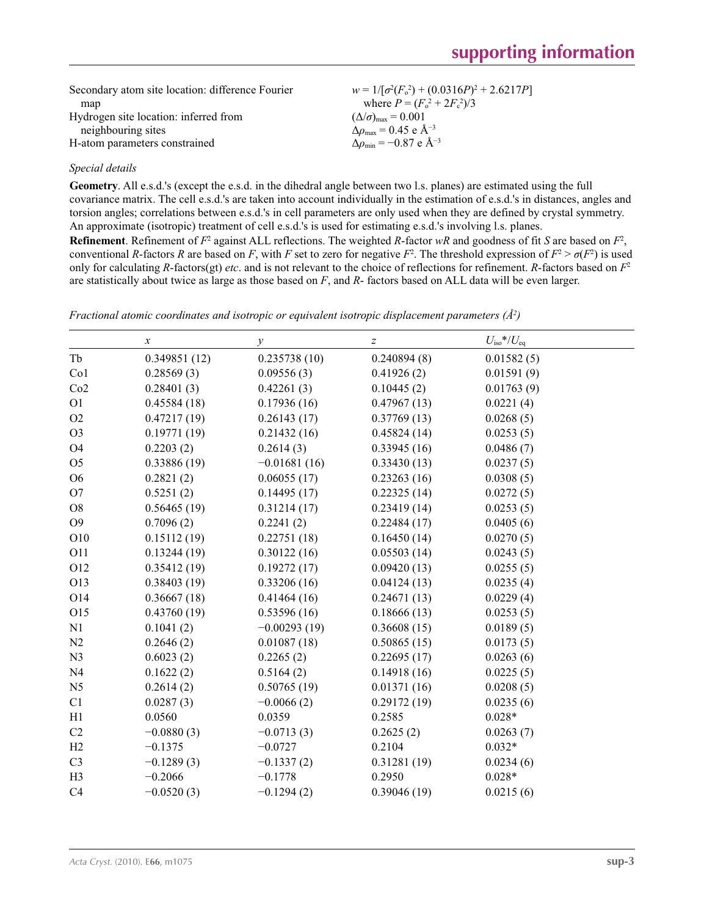| Secondary atom site location: difference Fourier | $w = 1/[\sigma^2(F_0^2) + (0.0316P)^2 + 2.6217P]$ |
|--------------------------------------------------|---------------------------------------------------|
| map                                              | where $P = (F_0^2 + 2F_c^2)/3$                    |
| Hydrogen site location: inferred from            | $(\Delta/\sigma)_{\text{max}} = 0.001$            |
| neighbouring sites                               | $\Delta\rho_{\rm max} = 0.45$ e $\rm \AA^{-3}$    |
| H-atom parameters constrained                    | $\Delta\rho_{\rm min} = -0.87 \text{ e A}^{-3}$   |

### *Special details*

**Geometry**. All e.s.d.'s (except the e.s.d. in the dihedral angle between two l.s. planes) are estimated using the full covariance matrix. The cell e.s.d.'s are taken into account individually in the estimation of e.s.d.'s in distances, angles and torsion angles; correlations between e.s.d.'s in cell parameters are only used when they are defined by crystal symmetry. An approximate (isotropic) treatment of cell e.s.d.'s is used for estimating e.s.d.'s involving l.s. planes. **Refinement**. Refinement of  $F^2$  against ALL reflections. The weighted R-factor wR and goodness of fit *S* are based on  $F^2$ , conventional *R*-factors *R* are based on *F*, with *F* set to zero for negative  $F^2$ . The threshold expression of  $F^2 > \sigma(F^2)$  is used only for calculating *R*-factors(gt) *etc*. and is not relevant to the choice of reflections for refinement. *R*-factors based on *F*<sup>2</sup> are statistically about twice as large as those based on *F*, and *R*- factors based on ALL data will be even larger.

|                 | $\boldsymbol{x}$ | у              | $\boldsymbol{Z}$ | $U_{\rm iso}*/U_{\rm eq}$ |  |
|-----------------|------------------|----------------|------------------|---------------------------|--|
| Tb              | 0.349851(12)     | 0.235738(10)   | 0.240894(8)      | 0.01582(5)                |  |
| Co <sub>1</sub> | 0.28569(3)       | 0.09556(3)     | 0.41926(2)       | 0.01591(9)                |  |
| Co2             | 0.28401(3)       | 0.42261(3)     | 0.10445(2)       | 0.01763(9)                |  |
| O <sub>1</sub>  | 0.45584(18)      | 0.17936(16)    | 0.47967(13)      | 0.0221(4)                 |  |
| O2              | 0.47217(19)      | 0.26143(17)    | 0.37769(13)      | 0.0268(5)                 |  |
| O <sub>3</sub>  | 0.19771(19)      | 0.21432(16)    | 0.45824(14)      | 0.0253(5)                 |  |
| O <sub>4</sub>  | 0.2203(2)        | 0.2614(3)      | 0.33945(16)      | 0.0486(7)                 |  |
| O <sub>5</sub>  | 0.33886(19)      | $-0.01681(16)$ | 0.33430(13)      | 0.0237(5)                 |  |
| O <sub>6</sub>  | 0.2821(2)        | 0.06055(17)    | 0.23263(16)      | 0.0308(5)                 |  |
| O <sub>7</sub>  | 0.5251(2)        | 0.14495(17)    | 0.22325(14)      | 0.0272(5)                 |  |
| O <sub>8</sub>  | 0.56465(19)      | 0.31214(17)    | 0.23419(14)      | 0.0253(5)                 |  |
| O <sub>9</sub>  | 0.7096(2)        | 0.2241(2)      | 0.22484(17)      | 0.0405(6)                 |  |
| O10             | 0.15112(19)      | 0.22751(18)    | 0.16450(14)      | 0.0270(5)                 |  |
| O11             | 0.13244(19)      | 0.30122(16)    | 0.05503(14)      | 0.0243(5)                 |  |
| O12             | 0.35412(19)      | 0.19272(17)    | 0.09420(13)      | 0.0255(5)                 |  |
| O13             | 0.38403(19)      | 0.33206(16)    | 0.04124(13)      | 0.0235(4)                 |  |
| O14             | 0.36667(18)      | 0.41464(16)    | 0.24671(13)      | 0.0229(4)                 |  |
| O15             | 0.43760(19)      | 0.53596(16)    | 0.18666(13)      | 0.0253(5)                 |  |
| N1              | 0.1041(2)        | $-0.00293(19)$ | 0.36608(15)      | 0.0189(5)                 |  |
| N2              | 0.2646(2)        | 0.01087(18)    | 0.50865(15)      | 0.0173(5)                 |  |
| N <sub>3</sub>  | 0.6023(2)        | 0.2265(2)      | 0.22695(17)      | 0.0263(6)                 |  |
| N <sub>4</sub>  | 0.1622(2)        | 0.5164(2)      | 0.14918(16)      | 0.0225(5)                 |  |
| N <sub>5</sub>  | 0.2614(2)        | 0.50765(19)    | 0.01371(16)      | 0.0208(5)                 |  |
| C1              | 0.0287(3)        | $-0.0066(2)$   | 0.29172(19)      | 0.0235(6)                 |  |
| H1              | 0.0560           | 0.0359         | 0.2585           | $0.028*$                  |  |
| C <sub>2</sub>  | $-0.0880(3)$     | $-0.0713(3)$   | 0.2625(2)        | 0.0263(7)                 |  |
| H2              | $-0.1375$        | $-0.0727$      | 0.2104           | $0.032*$                  |  |
| C <sub>3</sub>  | $-0.1289(3)$     | $-0.1337(2)$   | 0.31281(19)      | 0.0234(6)                 |  |
| H <sub>3</sub>  | $-0.2066$        | $-0.1778$      | 0.2950           | $0.028*$                  |  |
| C4              | $-0.0520(3)$     | $-0.1294(2)$   | 0.39046(19)      | 0.0215(6)                 |  |

*Fractional atomic coordinates and isotropic or equivalent isotropic displacement parameters (Å<sup>2</sup>)*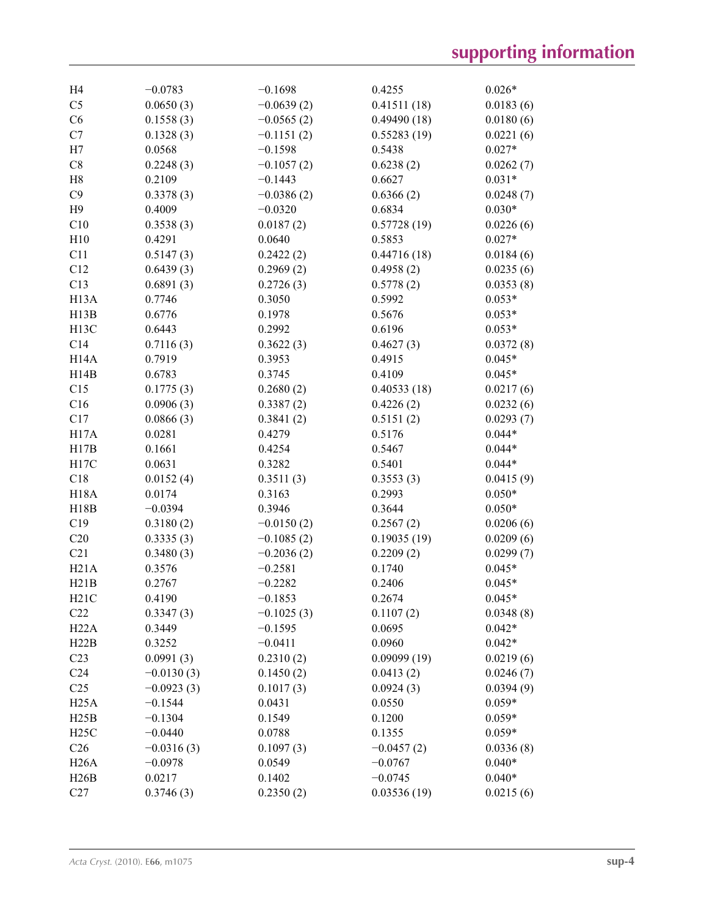| H4                | $-0.0783$    | $-0.1698$    | 0.4255       | $0.026*$  |
|-------------------|--------------|--------------|--------------|-----------|
| C <sub>5</sub>    | 0.0650(3)    | $-0.0639(2)$ | 0.41511(18)  | 0.0183(6) |
| C6                | 0.1558(3)    | $-0.0565(2)$ | 0.49490(18)  | 0.0180(6) |
| C7                | 0.1328(3)    | $-0.1151(2)$ | 0.55283(19)  | 0.0221(6) |
| H7                | 0.0568       | $-0.1598$    | 0.5438       | $0.027*$  |
| $\rm{C}8$         | 0.2248(3)    | $-0.1057(2)$ | 0.6238(2)    | 0.0262(7) |
| H8                | 0.2109       | $-0.1443$    | 0.6627       | $0.031*$  |
| C9                | 0.3378(3)    | $-0.0386(2)$ | 0.6366(2)    | 0.0248(7) |
| H9                | 0.4009       | $-0.0320$    | 0.6834       | $0.030*$  |
| C10               | 0.3538(3)    | 0.0187(2)    | 0.57728(19)  | 0.0226(6) |
| H10               | 0.4291       | 0.0640       | 0.5853       | $0.027*$  |
| C11               | 0.5147(3)    | 0.2422(2)    | 0.44716(18)  | 0.0184(6) |
| C12               | 0.6439(3)    | 0.2969(2)    | 0.4958(2)    | 0.0235(6) |
| C13               | 0.6891(3)    | 0.2726(3)    | 0.5778(2)    | 0.0353(8) |
| H <sub>13</sub> A | 0.7746       | 0.3050       | 0.5992       | $0.053*$  |
| H13B              | 0.6776       | 0.1978       | 0.5676       | $0.053*$  |
| H <sub>13</sub> C | 0.6443       | 0.2992       | 0.6196       | $0.053*$  |
| C14               | 0.7116(3)    | 0.3622(3)    | 0.4627(3)    | 0.0372(8) |
| H14A              | 0.7919       | 0.3953       | 0.4915       | $0.045*$  |
| H14B              | 0.6783       | 0.3745       | 0.4109       | $0.045*$  |
| C15               | 0.1775(3)    | 0.2680(2)    | 0.40533(18)  | 0.0217(6) |
| C16               | 0.0906(3)    | 0.3387(2)    | 0.4226(2)    | 0.0232(6) |
| C17               | 0.0866(3)    | 0.3841(2)    | 0.5151(2)    | 0.0293(7) |
| H17A              | 0.0281       | 0.4279       | 0.5176       | $0.044*$  |
| H17B              | 0.1661       | 0.4254       | 0.5467       | $0.044*$  |
| H17C              | 0.0631       | 0.3282       | 0.5401       | $0.044*$  |
| C18               | 0.0152(4)    | 0.3511(3)    | 0.3553(3)    | 0.0415(9) |
| <b>H18A</b>       | 0.0174       | 0.3163       | 0.2993       | $0.050*$  |
| H18B              | $-0.0394$    | 0.3946       | 0.3644       | $0.050*$  |
| C19               | 0.3180(2)    | $-0.0150(2)$ | 0.2567(2)    | 0.0206(6) |
| C20               | 0.3335(3)    | $-0.1085(2)$ | 0.19035(19)  | 0.0209(6) |
|                   |              |              |              |           |
| C21               | 0.3480(3)    | $-0.2036(2)$ | 0.2209(2)    | 0.0299(7) |
| H21A              | 0.3576       | $-0.2581$    | 0.1740       | $0.045*$  |
| H21B              | 0.2767       | $-0.2282$    | 0.2406       | $0.045*$  |
| H21C              | 0.4190       | $-0.1853$    | 0.2674       | $0.045*$  |
| C22               | 0.3347(3)    | $-0.1025(3)$ | 0.1107(2)    | 0.0348(8) |
| H22A              | 0.3449       | $-0.1595$    | 0.0695       | $0.042*$  |
| H22B              | 0.3252       | $-0.0411$    | 0.0960       | $0.042*$  |
| C <sub>23</sub>   | 0.0991(3)    | 0.2310(2)    | 0.09099(19)  | 0.0219(6) |
| C <sub>24</sub>   | $-0.0130(3)$ | 0.1450(2)    | 0.0413(2)    | 0.0246(7) |
| C <sub>25</sub>   | $-0.0923(3)$ | 0.1017(3)    | 0.0924(3)    | 0.0394(9) |
| H25A              | $-0.1544$    | 0.0431       | 0.0550       | $0.059*$  |
| H25B              | $-0.1304$    | 0.1549       | 0.1200       | $0.059*$  |
| H25C              | $-0.0440$    | 0.0788       | 0.1355       | $0.059*$  |
| C <sub>26</sub>   | $-0.0316(3)$ | 0.1097(3)    | $-0.0457(2)$ | 0.0336(8) |
| H26A              | $-0.0978$    | 0.0549       | $-0.0767$    | $0.040*$  |
| H26B              | 0.0217       | 0.1402       | $-0.0745$    | $0.040*$  |
| C27               | 0.3746(3)    | 0.2350(2)    | 0.03536(19)  | 0.0215(6) |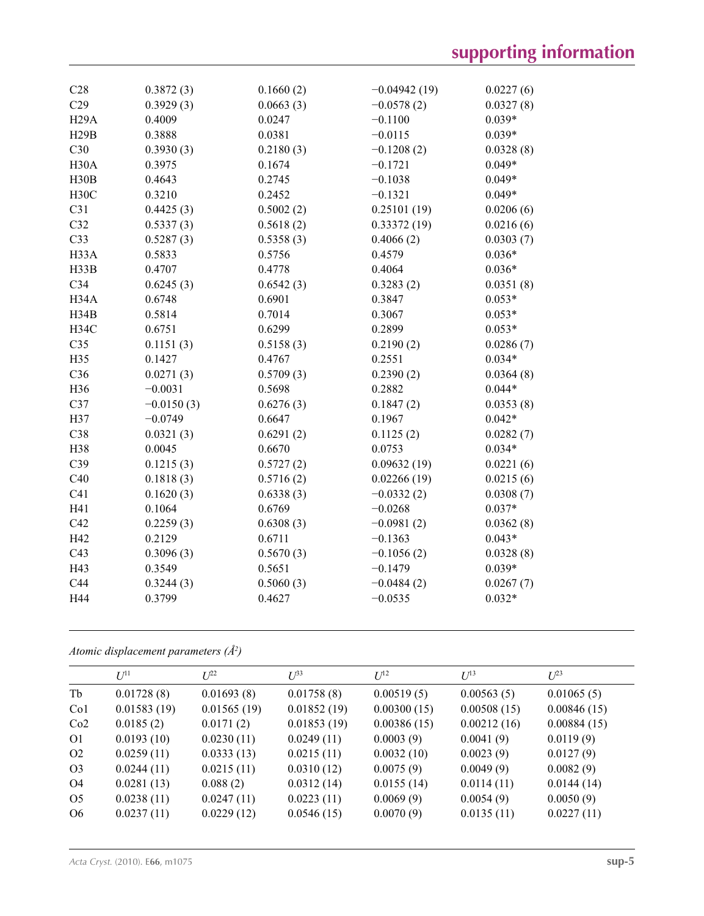| C28               | 0.3872(3)    | 0.1660(2) | $-0.04942(19)$ | 0.0227(6) |
|-------------------|--------------|-----------|----------------|-----------|
| C29               | 0.3929(3)    | 0.0663(3) | $-0.0578(2)$   | 0.0327(8) |
| H <sub>29</sub> A | 0.4009       | 0.0247    | $-0.1100$      | $0.039*$  |
| H29B              | 0.3888       | 0.0381    | $-0.0115$      | $0.039*$  |
| C30               | 0.3930(3)    | 0.2180(3) | $-0.1208(2)$   | 0.0328(8) |
| H30A              | 0.3975       | 0.1674    | $-0.1721$      | $0.049*$  |
| H30B              | 0.4643       | 0.2745    | $-0.1038$      | $0.049*$  |
| H30C              | 0.3210       | 0.2452    | $-0.1321$      | $0.049*$  |
| C31               | 0.4425(3)    | 0.5002(2) | 0.25101(19)    | 0.0206(6) |
| C32               | 0.5337(3)    | 0.5618(2) | 0.33372(19)    | 0.0216(6) |
| C <sub>33</sub>   | 0.5287(3)    | 0.5358(3) | 0.4066(2)      | 0.0303(7) |
| H33A              | 0.5833       | 0.5756    | 0.4579         | $0.036*$  |
| H33B              | 0.4707       | 0.4778    | 0.4064         | $0.036*$  |
| C <sub>34</sub>   | 0.6245(3)    | 0.6542(3) | 0.3283(2)      | 0.0351(8) |
| H34A              | 0.6748       | 0.6901    | 0.3847         | $0.053*$  |
| H34B              | 0.5814       | 0.7014    | 0.3067         | $0.053*$  |
| <b>H34C</b>       | 0.6751       | 0.6299    | 0.2899         | $0.053*$  |
| C <sub>35</sub>   | 0.1151(3)    | 0.5158(3) | 0.2190(2)      | 0.0286(7) |
| H35               | 0.1427       | 0.4767    | 0.2551         | $0.034*$  |
| C <sub>36</sub>   | 0.0271(3)    | 0.5709(3) | 0.2390(2)      | 0.0364(8) |
| H36               | $-0.0031$    | 0.5698    | 0.2882         | $0.044*$  |
| C37               | $-0.0150(3)$ | 0.6276(3) | 0.1847(2)      | 0.0353(8) |
| H37               | $-0.0749$    | 0.6647    | 0.1967         | $0.042*$  |
| C38               | 0.0321(3)    | 0.6291(2) | 0.1125(2)      | 0.0282(7) |
| H38               | 0.0045       | 0.6670    | 0.0753         | $0.034*$  |
| C39               | 0.1215(3)    | 0.5727(2) | 0.09632(19)    | 0.0221(6) |
| C40               | 0.1818(3)    | 0.5716(2) | 0.02266(19)    | 0.0215(6) |
| C41               | 0.1620(3)    | 0.6338(3) | $-0.0332(2)$   | 0.0308(7) |
| H41               | 0.1064       | 0.6769    | $-0.0268$      | $0.037*$  |
| C42               | 0.2259(3)    | 0.6308(3) | $-0.0981(2)$   | 0.0362(8) |
| H42               | 0.2129       | 0.6711    | $-0.1363$      | $0.043*$  |
| C43               | 0.3096(3)    | 0.5670(3) | $-0.1056(2)$   | 0.0328(8) |
| H43               | 0.3549       | 0.5651    | $-0.1479$      | $0.039*$  |
| C44               | 0.3244(3)    | 0.5060(3) | $-0.0484(2)$   | 0.0267(7) |
| H44               | 0.3799       | 0.4627    | $-0.0535$      | $0.032*$  |
|                   |              |           |                |           |

*Atomic displacement parameters (Å2 )*

|                 | $I^{11}$    | $L^{22}$    | $I^{\beta 3}$ | $I^{12}$    | $U^{13}$    | $L^{23}$    |
|-----------------|-------------|-------------|---------------|-------------|-------------|-------------|
| Tb              | 0.01728(8)  | 0.01693(8)  | 0.01758(8)    | 0.00519(5)  | 0.00563(5)  | 0.01065(5)  |
| Co <sub>1</sub> | 0.01583(19) | 0.01565(19) | 0.01852(19)   | 0.00300(15) | 0.00508(15) | 0.00846(15) |
| Co2             | 0.0185(2)   | 0.0171(2)   | 0.01853(19)   | 0.00386(15) | 0.00212(16) | 0.00884(15) |
| O <sub>1</sub>  | 0.0193(10)  | 0.0230(11)  | 0.0249(11)    | 0.0003(9)   | 0.0041(9)   | 0.0119(9)   |
| O <sub>2</sub>  | 0.0259(11)  | 0.0333(13)  | 0.0215(11)    | 0.0032(10)  | 0.0023(9)   | 0.0127(9)   |
| O <sub>3</sub>  | 0.0244(11)  | 0.0215(11)  | 0.0310(12)    | 0.0075(9)   | 0.0049(9)   | 0.0082(9)   |
| O4              | 0.0281(13)  | 0.088(2)    | 0.0312(14)    | 0.0155(14)  | 0.0114(11)  | 0.0144(14)  |
| O <sub>5</sub>  | 0.0238(11)  | 0.0247(11)  | 0.0223(11)    | 0.0069(9)   | 0.0054(9)   | 0.0050(9)   |
| O <sub>6</sub>  | 0.0237(11)  | 0.0229(12)  | 0.0546(15)    | 0.0070(9)   | 0.0135(11)  | 0.0227(11)  |
|                 |             |             |               |             |             |             |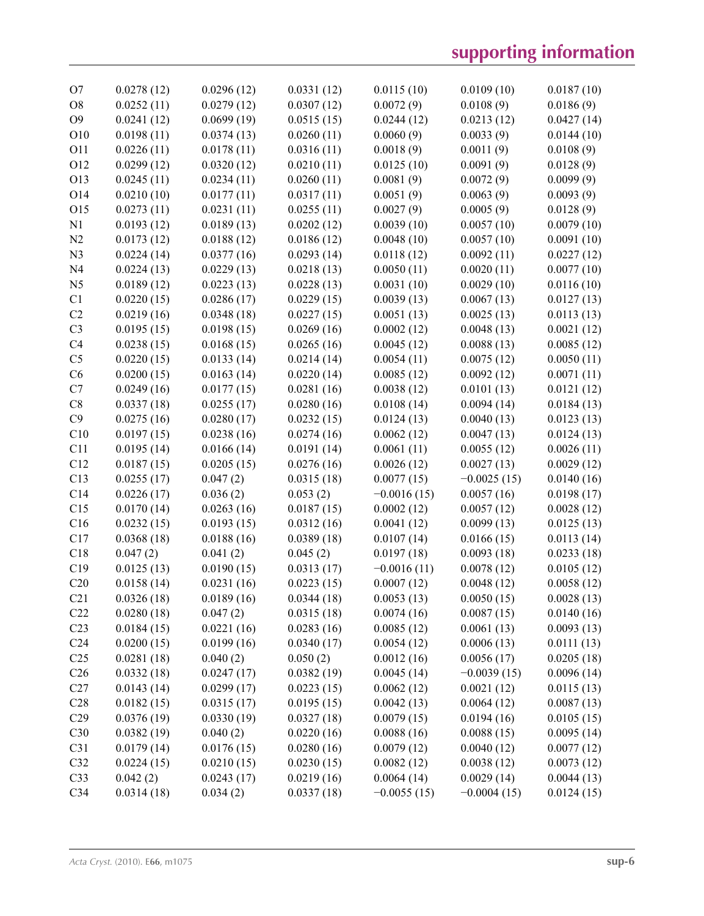| O <sub>7</sub>  | 0.0278(12) | 0.0296(12) | 0.0331(12) | 0.0115(10)    | 0.0109(10)    | 0.0187(10) |
|-----------------|------------|------------|------------|---------------|---------------|------------|
| O <sub>8</sub>  | 0.0252(11) | 0.0279(12) | 0.0307(12) | 0.0072(9)     | 0.0108(9)     | 0.0186(9)  |
| O <sub>9</sub>  | 0.0241(12) | 0.0699(19) | 0.0515(15) | 0.0244(12)    | 0.0213(12)    | 0.0427(14) |
| O <sub>10</sub> | 0.0198(11) | 0.0374(13) | 0.0260(11) | 0.0060(9)     | 0.0033(9)     | 0.0144(10) |
| O11             | 0.0226(11) | 0.0178(11) | 0.0316(11) | 0.0018(9)     | 0.0011(9)     | 0.0108(9)  |
| O12             | 0.0299(12) | 0.0320(12) | 0.0210(11) | 0.0125(10)    | 0.0091(9)     | 0.0128(9)  |
| O13             | 0.0245(11) | 0.0234(11) | 0.0260(11) | 0.0081(9)     | 0.0072(9)     | 0.0099(9)  |
| O14             | 0.0210(10) | 0.0177(11) | 0.0317(11) | 0.0051(9)     | 0.0063(9)     | 0.0093(9)  |
| O15             | 0.0273(11) | 0.0231(11) | 0.0255(11) | 0.0027(9)     | 0.0005(9)     | 0.0128(9)  |
| N <sub>1</sub>  | 0.0193(12) | 0.0189(13) | 0.0202(12) | 0.0039(10)    | 0.0057(10)    | 0.0079(10) |
| N <sub>2</sub>  | 0.0173(12) | 0.0188(12) | 0.0186(12) | 0.0048(10)    | 0.0057(10)    | 0.0091(10) |
| N <sub>3</sub>  | 0.0224(14) | 0.0377(16) | 0.0293(14) | 0.0118(12)    | 0.0092(11)    | 0.0227(12) |
| N <sub>4</sub>  | 0.0224(13) | 0.0229(13) | 0.0218(13) | 0.0050(11)    | 0.0020(11)    | 0.0077(10) |
| N <sub>5</sub>  | 0.0189(12) | 0.0223(13) | 0.0228(13) | 0.0031(10)    | 0.0029(10)    | 0.0116(10) |
| C1              | 0.0220(15) | 0.0286(17) | 0.0229(15) | 0.0039(13)    | 0.0067(13)    | 0.0127(13) |
| C2              | 0.0219(16) | 0.0348(18) | 0.0227(15) | 0.0051(13)    | 0.0025(13)    | 0.0113(13) |
| C <sub>3</sub>  | 0.0195(15) | 0.0198(15) | 0.0269(16) | 0.0002(12)    | 0.0048(13)    | 0.0021(12) |
| C <sub>4</sub>  | 0.0238(15) | 0.0168(15) | 0.0265(16) | 0.0045(12)    | 0.0088(13)    | 0.0085(12) |
| C <sub>5</sub>  | 0.0220(15) | 0.0133(14) | 0.0214(14) | 0.0054(11)    | 0.0075(12)    | 0.0050(11) |
| C6              | 0.0200(15) | 0.0163(14) | 0.0220(14) | 0.0085(12)    | 0.0092(12)    | 0.0071(11) |
| C7              | 0.0249(16) | 0.0177(15) | 0.0281(16) | 0.0038(12)    | 0.0101(13)    | 0.0121(12) |
| C8              | 0.0337(18) | 0.0255(17) | 0.0280(16) | 0.0108(14)    | 0.0094(14)    | 0.0184(13) |
| C9              | 0.0275(16) | 0.0280(17) | 0.0232(15) | 0.0124(13)    | 0.0040(13)    | 0.0123(13) |
| C10             | 0.0197(15) | 0.0238(16) | 0.0274(16) | 0.0062(12)    | 0.0047(13)    | 0.0124(13) |
| C11             | 0.0195(14) | 0.0166(14) | 0.0191(14) | 0.0061(11)    | 0.0055(12)    | 0.0026(11) |
| C12             | 0.0187(15) | 0.0205(15) | 0.0276(16) | 0.0026(12)    | 0.0027(13)    | 0.0029(12) |
| C13             | 0.0255(17) | 0.047(2)   | 0.0315(18) | 0.0077(15)    | $-0.0025(15)$ | 0.0140(16) |
| C14             | 0.0226(17) | 0.036(2)   | 0.053(2)   | $-0.0016(15)$ | 0.0057(16)    | 0.0198(17) |
| C15             | 0.0170(14) | 0.0263(16) | 0.0187(15) | 0.0002(12)    | 0.0057(12)    | 0.0028(12) |
| C16             | 0.0232(15) | 0.0193(15) | 0.0312(16) | 0.0041(12)    | 0.0099(13)    | 0.0125(13) |
| C17             | 0.0368(18) | 0.0188(16) | 0.0389(18) | 0.0107(14)    | 0.0166(15)    | 0.0113(14) |
| C18             | 0.047(2)   | 0.041(2)   | 0.045(2)   | 0.0197(18)    | 0.0093(18)    | 0.0233(18) |
| C19             | 0.0125(13) | 0.0190(15) | 0.0313(17) | $-0.0016(11)$ | 0.0078(12)    | 0.0105(12) |
| C20             | 0.0158(14) | 0.0231(16) | 0.0223(15) | 0.0007(12)    | 0.0048(12)    | 0.0058(12) |
| C21             | 0.0326(18) | 0.0189(16) | 0.0344(18) | 0.0053(13)    | 0.0050(15)    | 0.0028(13) |
| C <sub>22</sub> | 0.0280(18) | 0.047(2)   | 0.0315(18) | 0.0074(16)    | 0.0087(15)    | 0.0140(16) |
| C <sub>23</sub> | 0.0184(15) | 0.0221(16) | 0.0283(16) | 0.0085(12)    | 0.0061(13)    | 0.0093(13) |
| C <sub>24</sub> | 0.0200(15) | 0.0199(16) | 0.0340(17) | 0.0054(12)    | 0.0006(13)    | 0.0111(13) |
| C <sub>25</sub> | 0.0281(18) | 0.040(2)   | 0.050(2)   | 0.0012(16)    | 0.0056(17)    | 0.0205(18) |
| C <sub>26</sub> | 0.0332(18) | 0.0247(17) | 0.0382(19) | 0.0045(14)    | $-0.0039(15)$ | 0.0096(14) |
| C27             | 0.0143(14) | 0.0299(17) | 0.0223(15) | 0.0062(12)    | 0.0021(12)    | 0.0115(13) |
| C28             | 0.0182(15) | 0.0315(17) | 0.0195(15) | 0.0042(13)    | 0.0064(12)    | 0.0087(13) |
| C29             | 0.0376(19) | 0.0330(19) | 0.0327(18) | 0.0079(15)    | 0.0194(16)    | 0.0105(15) |
| C30             | 0.0382(19) | 0.040(2)   | 0.0220(16) | 0.0088(16)    | 0.0088(15)    | 0.0095(14) |
| C31             | 0.0179(14) | 0.0176(15) | 0.0280(16) | 0.0079(12)    | 0.0040(12)    | 0.0077(12) |
| C32             | 0.0224(15) | 0.0210(15) | 0.0230(15) | 0.0082(12)    | 0.0038(12)    | 0.0073(12) |
| C33             | 0.042(2)   | 0.0243(17) | 0.0219(16) | 0.0064(14)    | 0.0029(14)    | 0.0044(13) |
| C34             | 0.0314(18) | 0.034(2)   | 0.0337(18) | $-0.0055(15)$ | $-0.0004(15)$ | 0.0124(15) |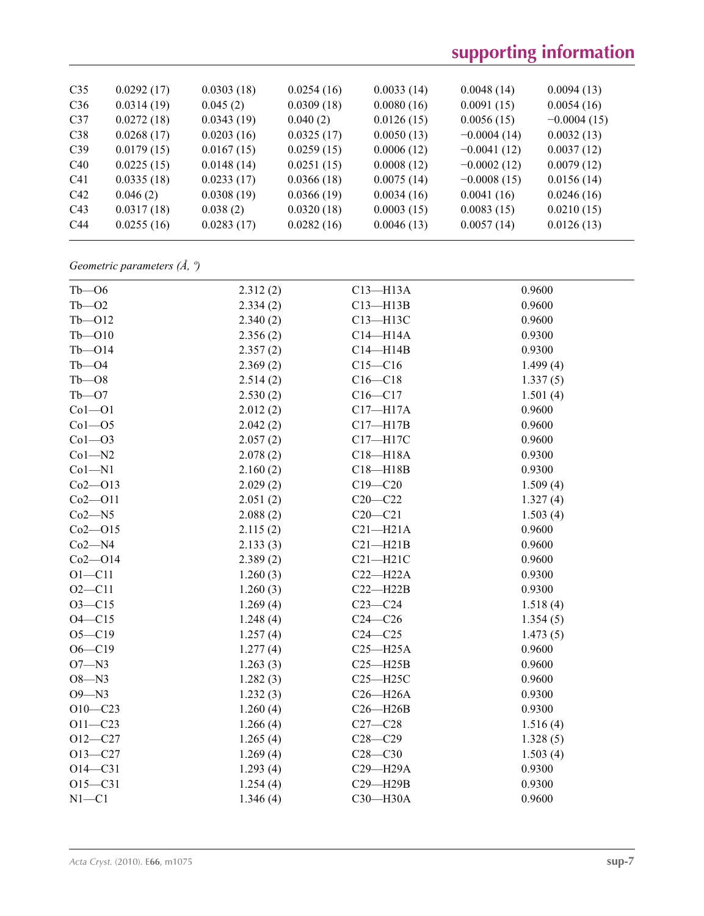| C <sub>35</sub> | 0.0292(17) | 0.0303(18) | 0.0254(16) | 0.0033(14) | 0.0048(14)    | 0.0094(13)    |
|-----------------|------------|------------|------------|------------|---------------|---------------|
| C <sub>36</sub> | 0.0314(19) | 0.045(2)   | 0.0309(18) | 0.0080(16) | 0.0091(15)    | 0.0054(16)    |
| C <sub>37</sub> | 0.0272(18) | 0.0343(19) | 0.040(2)   | 0.0126(15) | 0.0056(15)    | $-0.0004(15)$ |
| C38             | 0.0268(17) | 0.0203(16) | 0.0325(17) | 0.0050(13) | $-0.0004(14)$ | 0.0032(13)    |
| C <sub>39</sub> | 0.0179(15) | 0.0167(15) | 0.0259(15) | 0.0006(12) | $-0.0041(12)$ | 0.0037(12)    |
| C40             | 0.0225(15) | 0.0148(14) | 0.0251(15) | 0.0008(12) | $-0.0002(12)$ | 0.0079(12)    |
| C <sub>41</sub> | 0.0335(18) | 0.0233(17) | 0.0366(18) | 0.0075(14) | $-0.0008(15)$ | 0.0156(14)    |
| C42             | 0.046(2)   | 0.0308(19) | 0.0366(19) | 0.0034(16) | 0.0041(16)    | 0.0246(16)    |
| C43             | 0.0317(18) | 0.038(2)   | 0.0320(18) | 0.0003(15) | 0.0083(15)    | 0.0210(15)    |
| C44             | 0.0255(16) | 0.0283(17) | 0.0282(16) | 0.0046(13) | 0.0057(14)    | 0.0126(13)    |
|                 |            |            |            |            |               |               |

## *Geometric parameters (Å, º)*

| $Tb - 06$   | 2.312(2) | $C13 - H13A$ | 0.9600   |
|-------------|----------|--------------|----------|
| $Tb - 02$   | 2.334(2) | $C13 - H13B$ | 0.9600   |
| $Tb - 012$  | 2.340(2) | C13-H13C     | 0.9600   |
| $Tb - 010$  | 2.356(2) | $C14 - H14A$ | 0.9300   |
| $Tb - O14$  | 2.357(2) | $C14 - H14B$ | 0.9300   |
| $Tb - 04$   | 2.369(2) | $C15 - C16$  | 1.499(4) |
| $Tb - 08$   | 2.514(2) | $C16 - C18$  | 1.337(5) |
| $Tb - O7$   | 2.530(2) | $C16-C17$    | 1.501(4) |
| $Co1 - O1$  | 2.012(2) | $C17 - H17A$ | 0.9600   |
| $Co1 - O5$  | 2.042(2) | $C17 - H17B$ | 0.9600   |
| $Co1 - O3$  | 2.057(2) | C17-H17C     | 0.9600   |
| $Co1 - N2$  | 2.078(2) | $C18 - H18A$ | 0.9300   |
| $Co1 - N1$  | 2.160(2) | $C18 - H18B$ | 0.9300   |
| $Co2 - O13$ | 2.029(2) | $C19 - C20$  | 1.509(4) |
| $Co2 - O11$ | 2.051(2) | $C20 - C22$  | 1.327(4) |
| $Co2 - N5$  | 2.088(2) | $C20 - C21$  | 1.503(4) |
| $Co2 - O15$ | 2.115(2) | $C21 - H21A$ | 0.9600   |
| $Co2 - N4$  | 2.133(3) | $C21 - H21B$ | 0.9600   |
| $Co2 - O14$ | 2.389(2) | $C21 - H21C$ | 0.9600   |
| $O1 - C11$  | 1.260(3) | $C22-H22A$   | 0.9300   |
| $O2 - C11$  | 1.260(3) | $C22-H22B$   | 0.9300   |
| $O3 - C15$  | 1.269(4) | $C23-C24$    | 1.518(4) |
| $O4 - C15$  | 1.248(4) | $C24-C26$    | 1.354(5) |
| $O5 - C19$  | 1.257(4) | $C24 - C25$  | 1.473(5) |
| $O6 - C19$  | 1.277(4) | $C25 - H25A$ | 0.9600   |
| $O7 - N3$   | 1.263(3) | $C25 - H25B$ | 0.9600   |
| $O8 - N3$   | 1.282(3) | $C25 - H25C$ | 0.9600   |
| $O9 - N3$   | 1.232(3) | $C26 - H26A$ | 0.9300   |
| $O10 - C23$ | 1.260(4) | $C26 - H26B$ | 0.9300   |
| $O11 - C23$ | 1.266(4) | $C27-C28$    | 1.516(4) |
| $O12 - C27$ | 1.265(4) | $C28 - C29$  | 1.328(5) |
| $O13 - C27$ | 1.269(4) | $C28-C30$    | 1.503(4) |
| $O14 - C31$ | 1.293(4) | C29-H29A     | 0.9300   |
| $O15 - C31$ | 1.254(4) | C29-H29B     | 0.9300   |
| $N1 - C1$   | 1.346(4) | $C30 - H30A$ | 0.9600   |
|             |          |              |          |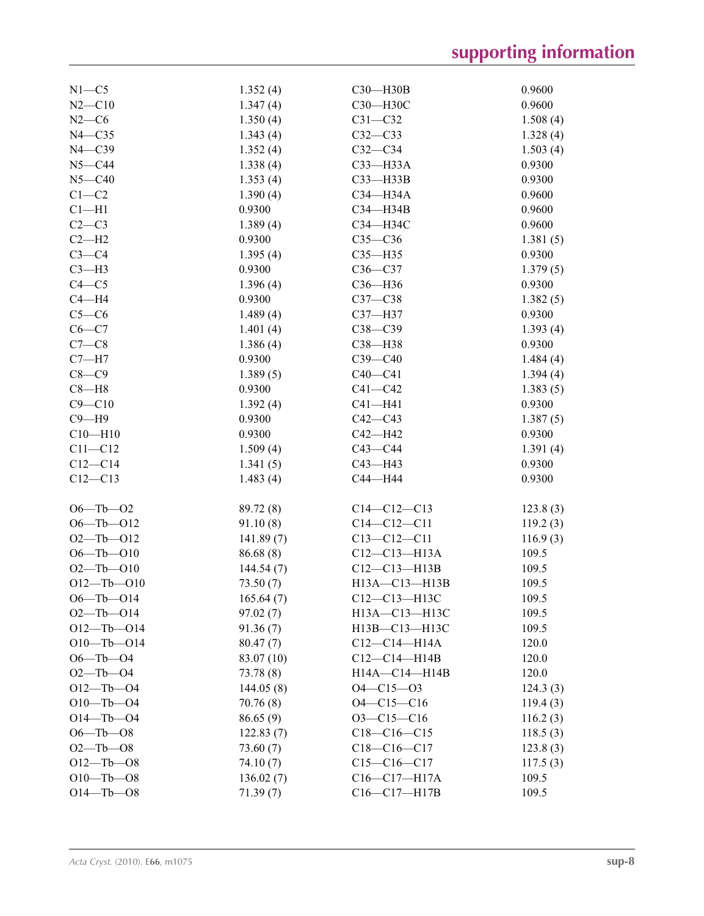| $N1 - C5$        | 1.352(4)   | C30-H30B                                             | 0.9600   |
|------------------|------------|------------------------------------------------------|----------|
| $N2 - C10$       | 1.347(4)   | С30-Н30С                                             | 0.9600   |
| $N2-C6$          | 1.350(4)   | $C31 - C32$                                          | 1.508(4) |
| $N4 - C35$       | 1.343(4)   | $C32-C33$                                            | 1.328(4) |
| $N4 - C39$       | 1.352(4)   | $C32-C34$                                            | 1.503(4) |
| $N5 - C44$       | 1.338(4)   | $C33$ -H33A                                          | 0.9300   |
| $N5 - C40$       | 1.353(4)   | $C33 - H33B$                                         | 0.9300   |
| $C1-C2$          | 1.390(4)   | C34-H34A                                             | 0.9600   |
| $Cl-H1$          | 0.9300     | C34-H34B                                             | 0.9600   |
| $C2-C3$          | 1.389(4)   | C34-H34C                                             | 0.9600   |
| $C2-H2$          | 0.9300     | $C35-C36$                                            | 1.381(5) |
| $C3-C4$          | 1.395(4)   | $C35 - H35$                                          | 0.9300   |
| $C3-H3$          | 0.9300     | $C36-C37$                                            | 1.379(5) |
| $C4 - C5$        | 1.396(4)   | C36-H36                                              | 0.9300   |
| $C4 - H4$        | 0.9300     | $C37-C38$                                            | 1.382(5) |
| $C5-C6$          | 1.489(4)   | C37-H37                                              | 0.9300   |
| $C6-C7$          | 1.401(4)   | $C38-C39$                                            | 1.393(4) |
| $C7-C8$          | 1.386(4)   | C38-H38                                              | 0.9300   |
| $C7 - H7$        | 0.9300     | $C39-C40$                                            | 1.484(4) |
| $C8-C9$          |            |                                                      |          |
| $C8 - H8$        | 1.389(5)   | $C40 - C41$                                          | 1.394(4) |
|                  | 0.9300     | $C41 - C42$                                          | 1.383(5) |
| $C9 - C10$       | 1.392(4)   | $C41 - H41$                                          | 0.9300   |
| $C9 - H9$        | 0.9300     | $C42-C43$                                            | 1.387(5) |
| $C10 - H10$      | 0.9300     | C42-H42                                              | 0.9300   |
| $C11 - C12$      | 1.509(4)   | $C43 - C44$                                          | 1.391(4) |
| $C12 - C14$      | 1.341(5)   | $C43 - H43$                                          | 0.9300   |
| $C12 - C13$      | 1.483(4)   | C44-H44                                              | 0.9300   |
| $O6 - Tb - O2$   | 89.72 (8)  | $C14-C12-C13$                                        | 123.8(3) |
| $O6 - Tb - O12$  | 91.10(8)   | $C14 - C12 - C11$                                    | 119.2(3) |
| $O2 - Tb - O12$  | 141.89(7)  | $C13 - C12 - C11$                                    | 116.9(3) |
| $O6 - Tb - O10$  | 86.68(8)   | $C12 - C13 - H13A$                                   | 109.5    |
| $O2 - Tb - O10$  | 144.54(7)  | $C12-C13-H13B$                                       | 109.5    |
| $O12 - Tb - O10$ | 73.50(7)   | H13A-C13-H13B                                        | 109.5    |
| $O6 - Tb - O14$  | 165.64(7)  | C12-C13-H13C                                         | 109.5    |
| $O2$ —Tb—O14     | 97.02(7)   | H <sub>13</sub> A-C <sub>13</sub> -H <sub>13</sub> C | 109.5    |
| $O12 - Tb - O14$ | 91.36(7)   | H13B-C13-H13C                                        | 109.5    |
| $O10 - Tb - O14$ |            |                                                      | 120.0    |
| $O6 - Tb - O4$   | 80.47(7)   | $C12-C14-H14A$<br>$C12-C14-H14B$                     | 120.0    |
|                  | 83.07 (10) | H14A-C14-H14B                                        |          |
| $O2 - Tb - O4$   | 73.78(8)   |                                                      | 120.0    |
| $O12 - Tb - O4$  | 144.05(8)  | $O4 - C15 - O3$                                      | 124.3(3) |
| $O10 - Tb - O4$  | 70.76(8)   | $O4 - C15 - C16$                                     | 119.4(3) |
| $O14 - Tb - O4$  | 86.65(9)   | $O3 - C15 - C16$                                     | 116.2(3) |
| $O6 - Tb - O8$   | 122.83(7)  | $C18-C16-C15$                                        | 118.5(3) |
| $O2 - Tb - O8$   | 73.60(7)   | $C18-C16-C17$                                        | 123.8(3) |
| $O12 - Tb - O8$  | 74.10(7)   | $C15 - C16 - C17$                                    | 117.5(3) |
| $O10 - Tb - O8$  | 136.02(7)  | $C16 - C17 - H17A$                                   | 109.5    |
| $O14 - Tb - O8$  | 71.39(7)   | C16-C17-H17B                                         | 109.5    |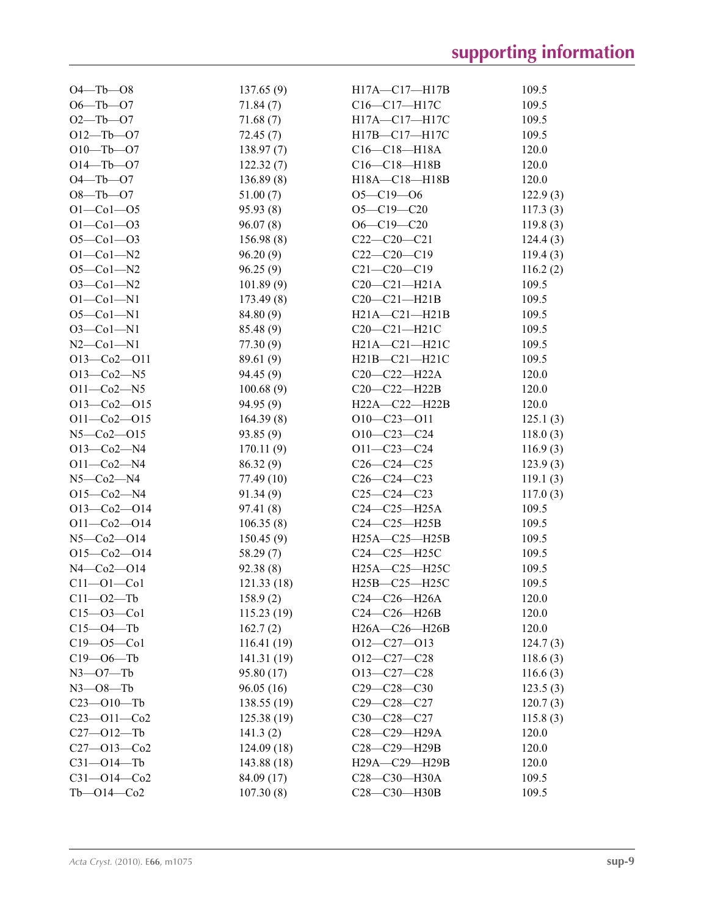| $O4 - Tb - O8$      | 137.65(9)   | H17A-C17-H17B       | 109.5    |
|---------------------|-------------|---------------------|----------|
| $O6 - Tb - O7$      | 71.84(7)    | C16-C17-H17C        | 109.5    |
| $O2 - Tb - O7$      | 71.68(7)    | H17A-C17-H17C       | 109.5    |
| $O12 - Tb - O7$     | 72.45(7)    | H17B-C17-H17C       | 109.5    |
| $O10 - Tb - O7$     | 138.97(7)   | $C16 - C18 - H18A$  | 120.0    |
| $O14 - Tb - O7$     | 122.32(7)   | $C16-C18-H18B$      | 120.0    |
| $O4 - Tb - O7$      | 136.89(8)   | H18A-C18-H18B       | 120.0    |
| $O8 - Tb - O7$      | 51.00(7)    | $O5 - C19 - O6$     | 122.9(3) |
| $O1 - Co1 - O5$     | 95.93(8)    | $O5 - C19 - C20$    | 117.3(3) |
| $O1 - Co1 - O3$     | 96.07(8)    | $O6 - C19 - C20$    | 119.8(3) |
| $O5 - Co1 - O3$     | 156.98(8)   | $C22-C20-C21$       | 124.4(3) |
| $O1 - Co1 - N2$     | 96.20(9)    | $C22-C20-C19$       | 119.4(3) |
| $O5 - Co1 - N2$     | 96.25(9)    | $C21 - C20 - C19$   | 116.2(2) |
| $O3 - Co1 - N2$     | 101.89(9)   | $C20-C21-H21A$      | 109.5    |
| $O1 - Co1 - N1$     | 173.49(8)   | $C20-C21-H21B$      | 109.5    |
| $O5 - Co1 - N1$     | 84.80 (9)   | $H21A - C21 - H21B$ | 109.5    |
| $O3 - Co1 - N1$     | 85.48 (9)   | $C20-C21-H21C$      | 109.5    |
| $N2$ –Co $1$ –N $1$ | 77.30(9)    | $H21A - C21 - H21C$ | 109.5    |
| $O13-Co2-O11$       | 89.61 (9)   | $H21B - C21 - H21C$ | 109.5    |
| $O13 - Co2 - N5$    | 94.45 (9)   | $C20-C22-H22A$      | 120.0    |
| $O11 - Co2 - N5$    | 100.68(9)   | $C20-C22-H22B$      | 120.0    |
| $O13-Co2-O15$       | 94.95(9)    | H22A-C22-H22B       | 120.0    |
| $O11 - Co2 - O15$   | 164.39(8)   | $O10-C23-O11$       | 125.1(3) |
| N5-Co2-O15          | 93.85(9)    | $O10-C23-C24$       | 118.0(3) |
| $O13 - Co2 - N4$    | 170.11(9)   | $O11 - C23 - C24$   | 116.9(3) |
| $O11 - Co2 - N4$    | 86.32 (9)   | $C26-C24-C25$       | 123.9(3) |
| $N5$ — $Co2$ — $N4$ | 77.49(10)   | $C26-C24-C23$       | 119.1(3) |
| $O15-Co2-N4$        | 91.34(9)    | $C25-C24-C23$       | 117.0(3) |
| $O13-Co2-O14$       | 97.41(8)    | $C24-C25-H25A$      | 109.5    |
| $O11 - Co2 - O14$   | 106.35(8)   | $C24-C25-H25B$      | 109.5    |
| $N5 - Co2 - O14$    | 150.45(9)   | $H25A - C25 - H25B$ | 109.5    |
| $O15-Co2-O14$       | 58.29(7)    | C24-C25-H25C        | 109.5    |
| $N4 - Co2 - O14$    | 92.38(8)    | H25A-C25-H25C       | 109.5    |
| $C11 - O1 - Co1$    | 121.33(18)  | H25B-C25-H25C       | 109.5    |
| $C11 - 02 - Tb$     | 158.9(2)    | C24-C26-H26A        | 120.0    |
| $C15 - 03 - C01$    | 115.23(19)  | $C24-C26-H26B$      | 120.0    |
| $C15 - O4 - Tb$     | 162.7(2)    | H26A-C26-H26B       | 120.0    |
| $C19 - 05 - C01$    | 116.41(19)  | $O12-C27-O13$       | 124.7(3) |
| $C19 - 06 - Tb$     | 141.31 (19) | $O12-C27-C28$       | 118.6(3) |
| $N3 - 07 - Tb$      | 95.80 (17)  | $O13-C27-C28$       | 116.6(3) |
| $N3$ – $O8$ –Tb     | 96.05(16)   | $C29 - C28 - C30$   | 123.5(3) |
| $C23 - 010 - Tb$    | 138.55(19)  | $C29 - C28 - C27$   | 120.7(3) |
| $C23 - 011 - C02$   | 125.38(19)  | $C30-C28-C27$       | 115.8(3) |
| $C27 - 012 - Tb$    | 141.3(2)    | C28-C29-H29A        | 120.0    |
| $C27 - 013 - C02$   | 124.09(18)  | C28-C29-H29B        | 120.0    |
| $C31 - O14 - Tb$    | 143.88 (18) | $H29A - C29 - H29B$ | 120.0    |
| $C31 - 014 - C02$   | 84.09 (17)  | C28-C30-H30A        | 109.5    |
| $Tb - 014 - Co2$    | 107.30(8)   | C28-C30-H30B        | 109.5    |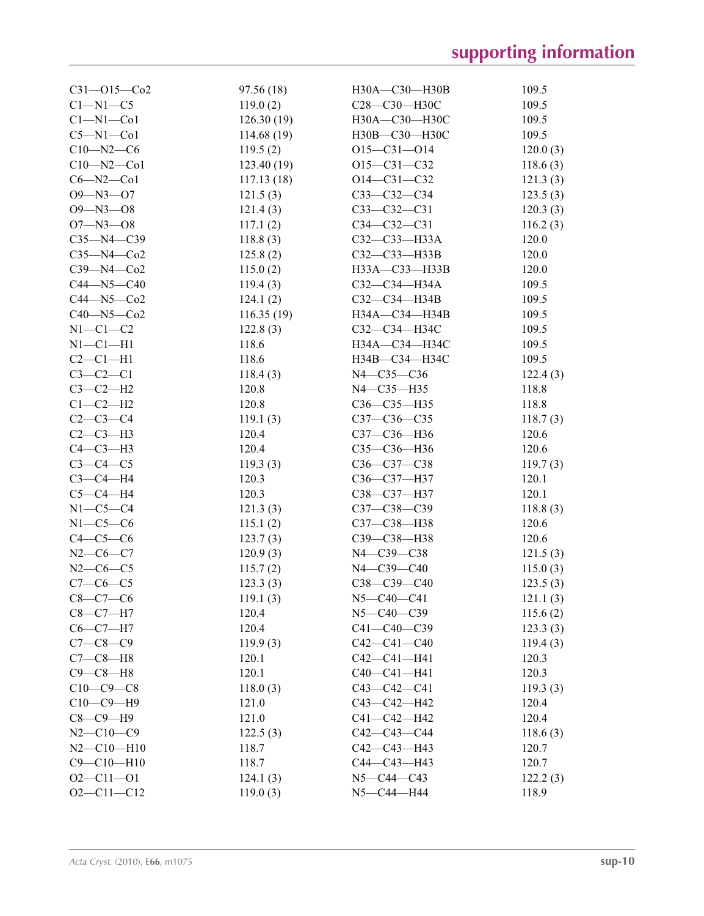| $C31 - 015 - C02$ | 97.56 (18) | H30A-C30-H30B      | 109.5    |
|-------------------|------------|--------------------|----------|
| $C1 - N1 - C5$    | 119.0(2)   | С28-С30-Н30С       | 109.5    |
| $Cl-M1-C01$       | 126.30(19) | H30A-C30-H30C      | 109.5    |
| $C5 - N1 - Co1$   | 114.68(19) | H30B-C30-H30C      | 109.5    |
| $C10 - N2 - C6$   | 119.5(2)   | $O15 - C31 - O14$  | 120.0(3) |
| $C10 - N2 - C01$  | 123.40(19) | $O15 - C31 - C32$  | 118.6(3) |
| $C6 - N2 - C01$   | 117.13(18) | $O14 - C31 - C32$  | 121.3(3) |
| $O9 - N3 - O7$    | 121.5(3)   | $C33-C32-C34$      | 123.5(3) |
| $O9 - N3 - O8$    | 121.4(3)   | $C33-C32-C31$      | 120.3(3) |
| $O7 - N3 - O8$    | 117.1(2)   | $C34 - C32 - C31$  | 116.2(3) |
| $C35 - N4 - C39$  | 118.8(3)   | $C32 - C33 - H33A$ | 120.0    |
| $C35 - N4 - Co2$  | 125.8(2)   | C32-C33-H33B       | 120.0    |
| $C39 - N4 - Co2$  | 115.0(2)   | H33A-C33-H33B      | 120.0    |
| $C44 - N5 - C40$  | 119.4(3)   | C32-C34-H34A       | 109.5    |
| $C44 - N5 - C02$  | 124.1(2)   | $C32-C34-H34B$     | 109.5    |
| $C40 - N5 - C02$  | 116.35(19) | H34A-C34-H34B      | 109.5    |
| $N1-C1-C2$        | 122.8(3)   | СЗ2—СЗ4—НЗ4С       | 109.5    |
| $N1-C1-H1$        | 118.6      | H34A-C34-H34C      | 109.5    |
| $C2-C1-H1$        | 118.6      | H34B-C34-H34C      | 109.5    |
| $C3 - C2 - C1$    | 118.4(3)   | N4-C35-C36         | 122.4(3) |
| $C3-C2-H2$        | 120.8      | $N4 - C35 - H35$   | 118.8    |
| $C1-C2-H2$        | 120.8      | $C36 - C35 - H35$  | 118.8    |
| $C2-C3-C4$        | 119.1(3)   | $C37 - C36 - C35$  | 118.7(3) |
| $C2-C3-H3$        | 120.4      | C37-C36-H36        | 120.6    |
| $C4-C3-H3$        | 120.4      | C35-C36-H36        | 120.6    |
| $C3-C4-C5$        | 119.3(3)   | $C36 - C37 - C38$  | 119.7(3) |
| $C3-C4-H4$        | 120.3      | C36-C37-H37        | 120.1    |
| $C5-C4-H4$        | 120.3      | C38-C37-H37        | 120.1    |
| $N1-C5-C4$        | 121.3(3)   | C37-C38-C39        | 118.8(3) |
| $N1-C5-C6$        | 115.1(2)   | C37-C38-H38        | 120.6    |
| $C4-C5-C6$        | 123.7(3)   | C39-C38-H38        | 120.6    |
| $N2-C6-C7$        | 120.9(3)   | N4-C39-C38         | 121.5(3) |
| $N2-C6-C5$        | 115.7(2)   | N4-C39-C40         | 115.0(3) |
| $C7-C6-C5$        | 123.3(3)   | $C38-C39-C40$      | 123.5(3) |
| $C8 - C7 - C6$    | 119.1(3)   | $N5 - C40 - C41$   | 121.1(3) |
| $C8-C7-H7$        | 120.4      | $N5 - C40 - C39$   | 115.6(2) |
| $C6-C7-H7$        | 120.4      | C41-C40-C39        | 123.3(3) |
| $C7 - C8 - C9$    | 119.9(3)   | $C42 - C41 - C40$  | 119.4(3) |
| $C7-C8-H8$        | 120.1      | $C42 - C41 - H41$  | 120.3    |
| $C9-C8-H8$        | 120.1      | $C40-C41-H41$      | 120.3    |
| $C10-C9-C8$       | 118.0(3)   | $C43 - C42 - C41$  | 119.3(3) |
| $C10-C9-H9$       | 121.0      | $C43 - C42 - H42$  | 120.4    |
| $C8-C9-H9$        | 121.0      | C41-C42-H42        | 120.4    |
| $N2 - C10 - C9$   | 122.5(3)   | C42-C43-C44        | 118.6(3) |
| $N2 - C10 - H10$  | 118.7      | $C42 - C43 - H43$  | 120.7    |
| $C9 - C10 - H10$  | 118.7      | $C44 - C43 - H43$  | 120.7    |
| $O2 - C11 - O1$   | 124.1(3)   | $N5 - C44 - C43$   | 122.2(3) |
| $O2 - C11 - C12$  | 119.0(3)   | N5-C44-H44         | 118.9    |
|                   |            |                    |          |